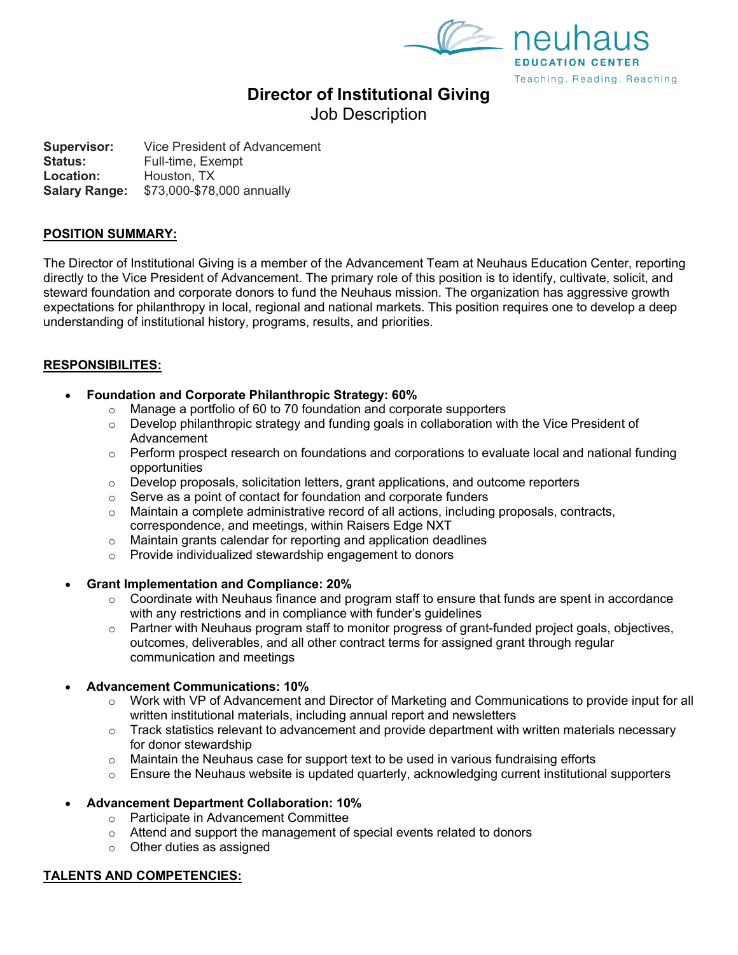



# **Director of Institutional Giving**

Job Description

**Supervisor:** Vice President of Advancement<br>**Status:** Full-time. Exempt **Status:** Full-time, Exempt **Location:** Houston, TX **Salary Range:** \$73,000-\$78,000 annually

#### **POSITION SUMMARY:**

The Director of Institutional Giving is a member of the Advancement Team at Neuhaus Education Center, reporting directly to the Vice President of Advancement. The primary role of this position is to identify, cultivate, solicit, and steward foundation and corporate donors to fund the Neuhaus mission. The organization has aggressive growth expectations for philanthropy in local, regional and national markets. This position requires one to develop a deep understanding of institutional history, programs, results, and priorities.

# **RESPONSIBILITES:**

- **Foundation and Corporate Philanthropic Strategy: 60%**
	- o Manage a portfolio of 60 to 70 foundation and corporate supporters
	- $\circ$  Develop philanthropic strategy and funding goals in collaboration with the Vice President of Advancement
	- $\circ$  Perform prospect research on foundations and corporations to evaluate local and national funding opportunities
	- $\circ$  Develop proposals, solicitation letters, grant applications, and outcome reporters
	- o Serve as a point of contact for foundation and corporate funders
	- $\circ$  Maintain a complete administrative record of all actions, including proposals, contracts, correspondence, and meetings, within Raisers Edge NXT
	- o Maintain grants calendar for reporting and application deadlines
	- o Provide individualized stewardship engagement to donors

#### • **Grant Implementation and Compliance: 20%**

- $\circ$  Coordinate with Neuhaus finance and program staff to ensure that funds are spent in accordance with any restrictions and in compliance with funder's guidelines
- $\circ$  Partner with Neuhaus program staff to monitor progress of grant-funded project goals, objectives, outcomes, deliverables, and all other contract terms for assigned grant through regular communication and meetings

#### • **Advancement Communications: 10%**

- $\circ$  Work with VP of Advancement and Director of Marketing and Communications to provide input for all written institutional materials, including annual report and newsletters
- $\circ$  Track statistics relevant to advancement and provide department with written materials necessary for donor stewardship
- $\circ$  Maintain the Neuhaus case for support text to be used in various fundraising efforts
- $\circ$  Ensure the Neuhaus website is updated quarterly, acknowledging current institutional supporters

# • **Advancement Department Collaboration: 10%**

- o Participate in Advancement Committee
- o Attend and support the management of special events related to donors
- $\circ$  Other duties as assigned

#### **TALENTS AND COMPETENCIES:**